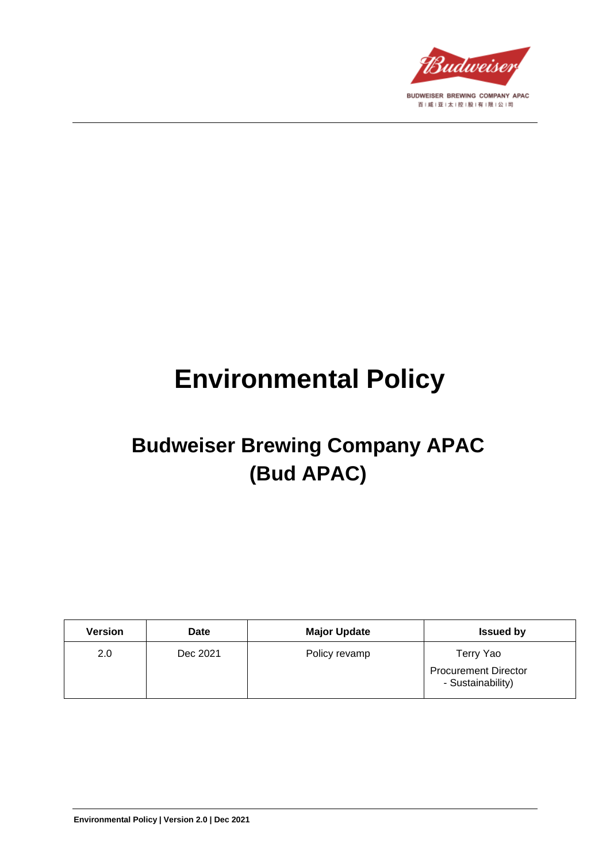

# **Environmental Policy**

# **Budweiser Brewing Company APAC (Bud APAC)**

| <b>Version</b> | <b>Date</b> | <b>Major Update</b> | <b>Issued by</b>                                 |
|----------------|-------------|---------------------|--------------------------------------------------|
| 2.0            | Dec 2021    | Policy revamp       | Terry Yao                                        |
|                |             |                     | <b>Procurement Director</b><br>- Sustainability) |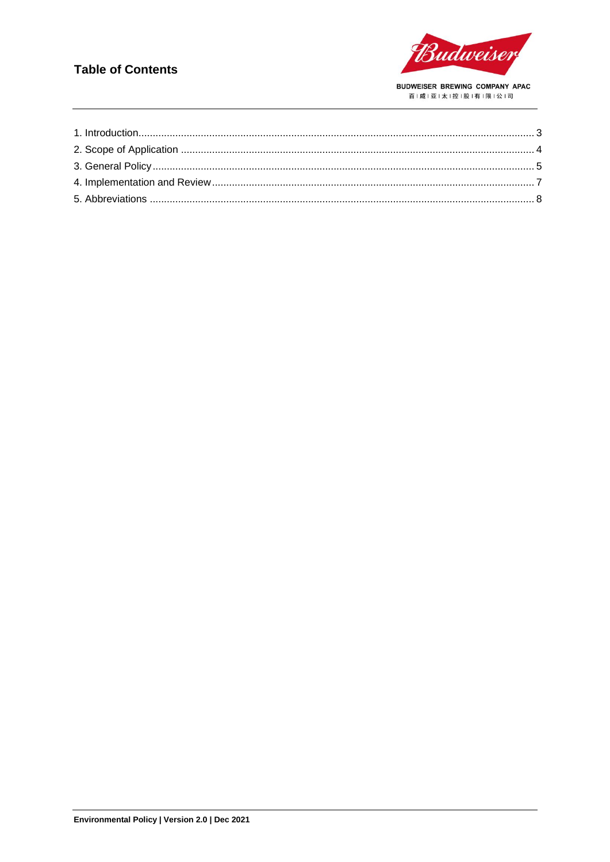### **Table of Contents**

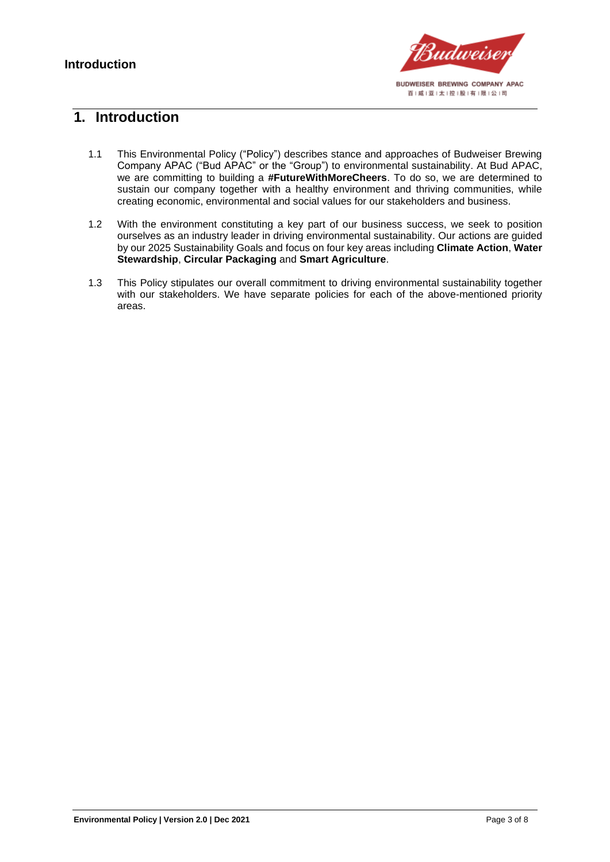

### <span id="page-2-0"></span>**1. Introduction**

- 1.1 This Environmental Policy ("Policy") describes stance and approaches of Budweiser Brewing Company APAC ("Bud APAC" or the "Group") to environmental sustainability. At Bud APAC, we are committing to building a **#FutureWithMoreCheers**. To do so, we are determined to sustain our company together with a healthy environment and thriving communities, while creating economic, environmental and social values for our stakeholders and business.
- 1.2 With the environment constituting a key part of our business success, we seek to position ourselves as an industry leader in driving environmental sustainability. Our actions are guided by our 2025 Sustainability Goals and focus on four key areas including **Climate Action**, **Water Stewardship**, **Circular Packaging** and **Smart Agriculture**.
- 1.3 This Policy stipulates our overall commitment to driving environmental sustainability together with our stakeholders. We have separate policies for each of the above-mentioned priority areas.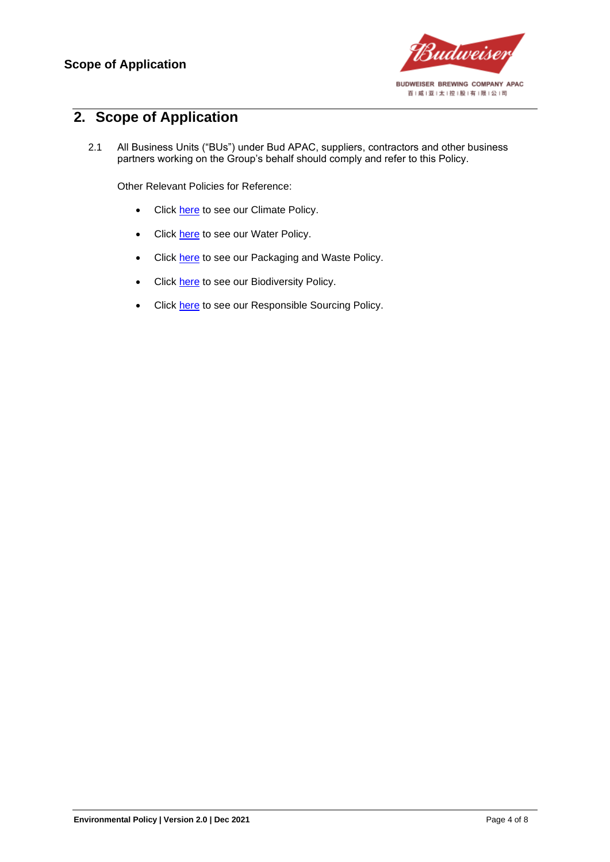

# <span id="page-3-0"></span>**2. Scope of Application**

2.1 All Business Units ("BUs") under Bud APAC, suppliers, contractors and other business partners working on the Group's behalf should comply and refer to this Policy.

Other Relevant Policies for Reference:

- Click [here](https://budweiserapac.com/ace_files/files/policy2021/BudAPAC_Climate%20Policy.pdf) to see our Climate Policy.
- Click [here](https://budweiserapac.com/ace_files/files/policy2021/BudAPAC_Water%20Policy.pdf) to see our Water Policy.
- Click [here](https://budweiserapac.com/ace_files/files/policy2021/BudAPAC_Packaging%20and%20Waste%20Policy.pdf) to see our Packaging and Waste Policy.
- Click [here](https://budweiserapac.com/ace_files/files/policy2021/BudAPAC_Biodiversity%20Policy.pdf) to see our Biodiversity Policy.
- Click [here](https://budweiserapac.com/ace_files/files/policy2021/BudAPAC_Responsible%20Sourcing.pdf) to see our Responsible Sourcing Policy.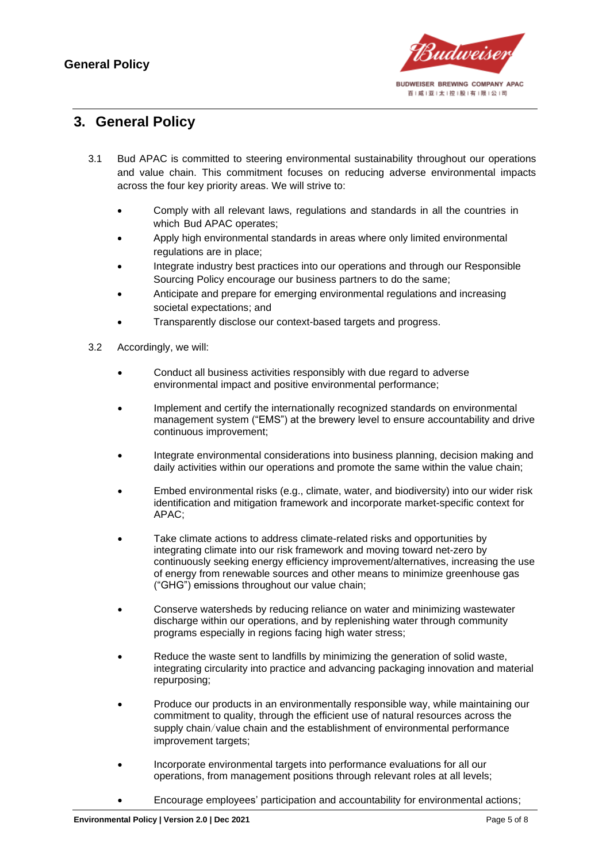

## <span id="page-4-0"></span>**3. General Policy**

- 3.1 Bud APAC is committed to steering environmental sustainability throughout our operations and value chain. This commitment focuses on reducing adverse environmental impacts across the four key priority areas. We will strive to:
	- Comply with all relevant laws, regulations and standards in all the countries in which Bud APAC operates;
	- Apply high environmental standards in areas where only limited environmental regulations are in place;
	- Integrate industry best practices into our operations and through our Responsible Sourcing Policy encourage our business partners to do the same;
	- Anticipate and prepare for emerging environmental regulations and increasing societal expectations; and
	- Transparently disclose our context-based targets and progress.
- 3.2 Accordingly, we will:
	- Conduct all business activities responsibly with due regard to adverse environmental impact and positive environmental performance;
	- Implement and certify the internationally recognized standards on environmental management system ("EMS") at the brewery level to ensure accountability and drive continuous improvement;
	- Integrate environmental considerations into business planning, decision making and daily activities within our operations and promote the same within the value chain;
	- Embed environmental risks (e.g., climate, water, and biodiversity) into our wider risk identification and mitigation framework and incorporate market-specific context for APAC;
	- Take climate actions to address climate-related risks and opportunities by integrating climate into our risk framework and moving toward net-zero by continuously seeking energy efficiency improvement/alternatives, increasing the use of energy from renewable sources and other means to minimize greenhouse gas ("GHG") emissions throughout our value chain;
	- Conserve watersheds by reducing reliance on water and minimizing wastewater discharge within our operations, and by replenishing water through community programs especially in regions facing high water stress;
	- Reduce the waste sent to landfills by minimizing the generation of solid waste, integrating circularity into practice and advancing packaging innovation and material repurposing;
	- Produce our products in an environmentally responsible way, while maintaining our commitment to quality, through the efficient use of natural resources across the supply chain/value chain and the establishment of environmental performance improvement targets;
	- Incorporate environmental targets into performance evaluations for all our operations, from management positions through relevant roles at all levels;
	- Encourage employees' participation and accountability for environmental actions;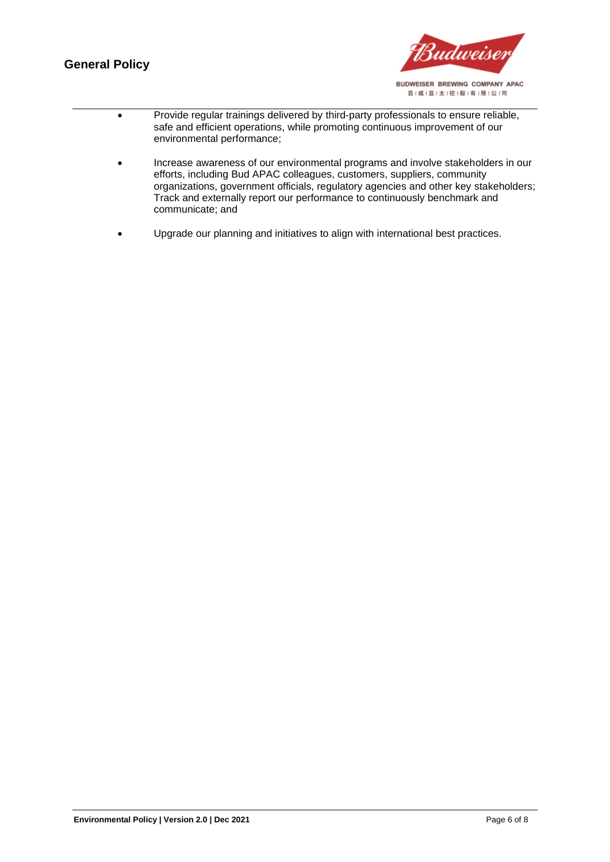#### **General Policy**



| Provide regular trainings delivered by third-party professionals to ensure reliable, |
|--------------------------------------------------------------------------------------|
| safe and efficient operations, while promoting continuous improvement of our         |
| environmental performance;                                                           |

- Increase awareness of our environmental programs and involve stakeholders in our efforts, including Bud APAC colleagues, customers, suppliers, community organizations, government officials, regulatory agencies and other key stakeholders; Track and externally report our performance to continuously benchmark and communicate; and
- Upgrade our planning and initiatives to align with international best practices.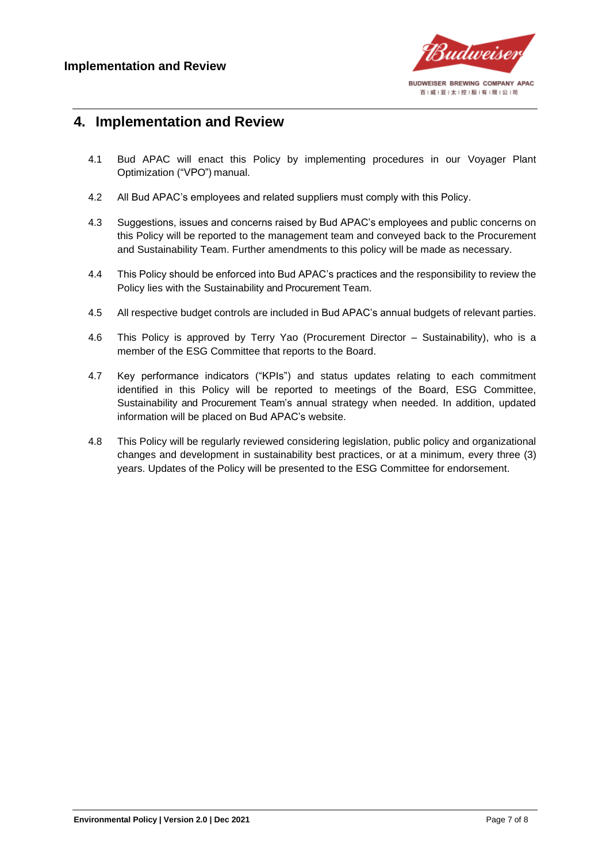

#### <span id="page-6-0"></span>**4. Implementation and Review**

- 4.1 Bud APAC will enact this Policy by implementing procedures in our Voyager Plant Optimization ("VPO") manual.
- 4.2 All Bud APAC's employees and related suppliers must comply with this Policy.
- 4.3 Suggestions, issues and concerns raised by Bud APAC's employees and public concerns on this Policy will be reported to the management team and conveyed back to the Procurement and Sustainability Team. Further amendments to this policy will be made as necessary.
- 4.4 This Policy should be enforced into Bud APAC's practices and the responsibility to review the Policy lies with the Sustainability and Procurement Team.
- 4.5 All respective budget controls are included in Bud APAC's annual budgets of relevant parties.
- 4.6 This Policy is approved by Terry Yao (Procurement Director Sustainability), who is a member of the ESG Committee that reports to the Board.
- 4.7 Key performance indicators ("KPIs") and status updates relating to each commitment identified in this Policy will be reported to meetings of the Board, ESG Committee, Sustainability and Procurement Team's annual strategy when needed. In addition, updated information will be placed on Bud APAC's website.
- 4.8 This Policy will be regularly reviewed considering legislation, public policy and organizational changes and development in sustainability best practices, or at a minimum, every three (3) years. Updates of the Policy will be presented to the ESG Committee for endorsement.